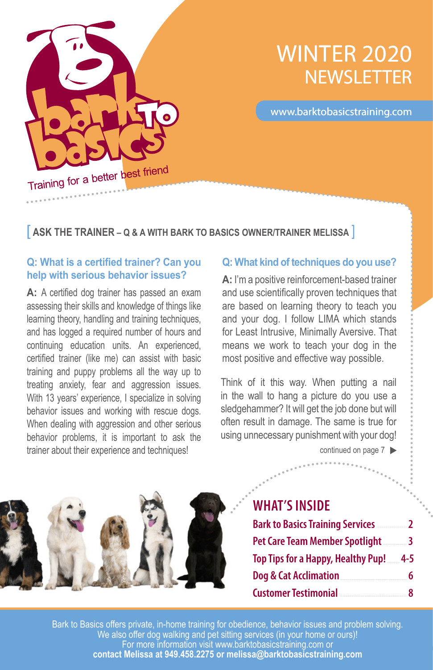

# WINTER 2020 **NEWSLETTER**

www.barktobasicstraining.com

#### [ **ASK THE TRAINER – Q & A WITH BARK TO BASICS OWNER/TRAINER MELISSA** ]

#### **Q: What is a certified trainer? Can you help with serious behavior issues?**

A: A certified dog trainer has passed an exam assessing their skills and knowledge of things like learning theory, handling and training techniques, and has logged a required number of hours and continuing education units. An experienced, certified trainer (like me) can assist with basic training and puppy problems all the way up to treating anxiety, fear and aggression issues. With 13 years' experience, I specialize in solving behavior issues and working with rescue dogs. When dealing with aggression and other serious behavior problems, it is important to ask the trainer about their experience and techniques!

#### **Q: What kind of techniques do you use?**

**A:** I'm a positive reinforcement-based trainer and use scientifically proven techniques that are based on learning theory to teach you and your dog. I follow LIMA which stands for Least Intrusive, Minimally Aversive. That means we work to teach your dog in the most positive and effective way possible.

Think of it this way. When putting a nail in the wall to hang a picture do you use a sledgehammer? It will get the job done but will often result in damage. The same is true for using unnecessary punishment with your dog!

continued on page  $7 \blacktriangleright$ 



### **WHAT'S INSIDE**

| <b>Bark to Basics Training Services</b> | $\mathcal{P}$ |
|-----------------------------------------|---------------|
| Pet Care Team Member Spotlight          | $\sim$ 3      |
| Top Tips for a Happy, Healthy Pup!      | -4-5          |
| Dog & Cat Acclimation                   | 6             |
| <b>Customer Testimonial</b>             | ጸ             |

1 **contact Melissa at 949.458.2275 or melissa@barktobasicstraining.com**  Bark to Basics offers private, in-home training for obedience, behavior issues and problem solving. We also offer dog walking and pet sitting services (in your home or ours)! For more information visit www.barktobasicstraining.com or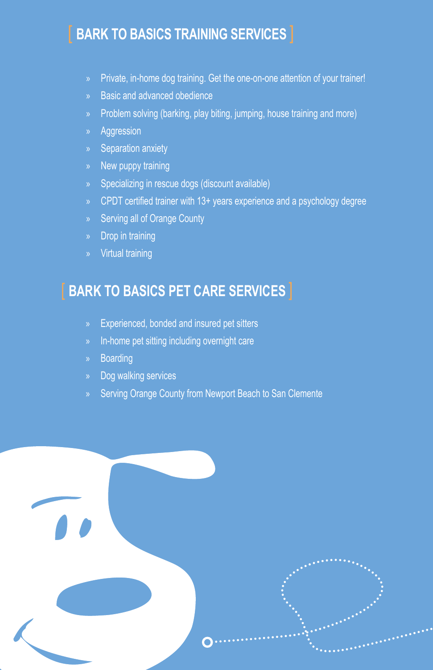### [ **BARK TO BASICS TRAINING SERVICES** ]

- » Private, in-home dog training. Get the one-on-one attention of your trainer!
- » Basic and advanced obedience
- » Problem solving (barking, play biting, jumping, house training and more)
- » Aggression
- » Separation anxiety
- » New puppy training
- » Specializing in rescue dogs (discount available)
- » CPDT certified trainer with 13+ years experience and a psychology degree
- » Serving all of Orange County
- » Drop in training
- » Virtual training

### [ **BARK TO BASICS PET CARE SERVICES** ]

- » Experienced, bonded and insured pet sitters
- » In-home pet sitting including overnight care
- » Boarding
- » Dog walking services
- » Serving Orange County from Newport Beach to San Clemente

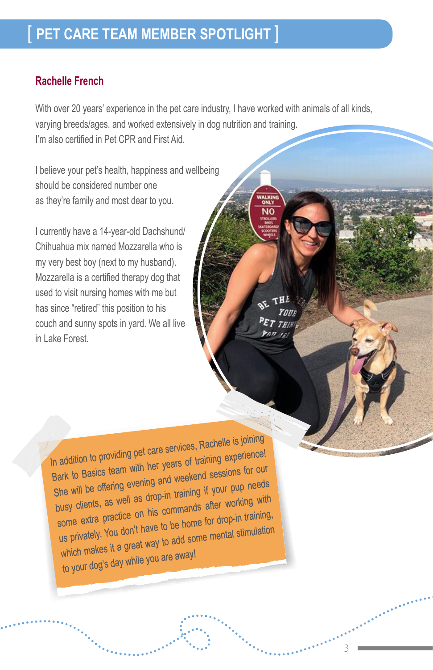### [ **PET CARE TEAM MEMBER SPOTLIGHT** ]

#### **Rachelle French**

With over 20 years' experience in the pet care industry, I have worked with animals of all kinds, varying breeds/ages, and worked extensively in dog nutrition and training. I'm also certified in Pet CPR and First Aid.

I believe your pet's health, happiness and wellbeing should be considered number one as they're family and most dear to you.

I currently have a 14-year-old Dachshund/ Chihuahua mix named Mozzarella who is my very best boy (next to my husband). Mozzarella is a certified therapy dog that used to visit nursing homes with me but has since "retired" this position to his couch and sunny spots in yard. We all live in Lake Forest.

3

In addition to providing pet care services, Rachelle is joining Bark to Basics team with her years of training experience! She will be offering evening and weekend sessions for our busy clients, as well as drop-in training if your pup needs some extra practice on his commands after working with us privately. You don't have to be home for drop-in training, which makes it a great way to add some mental stimulation to your dog's day while you are away!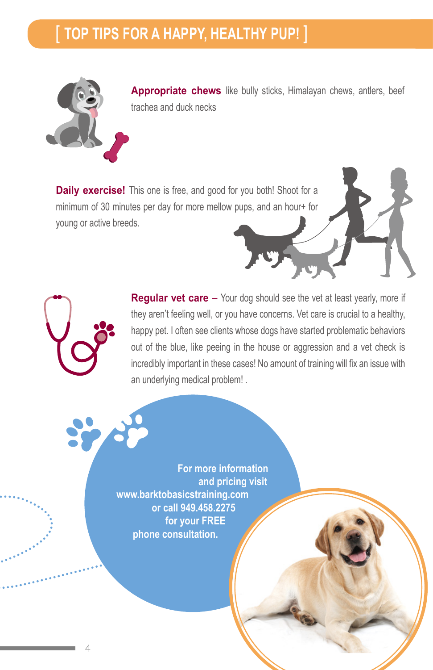## [ **TOP TIPS FOR A HAPPY, HEALTHY PUP!** ]



**Appropriate chews** like bully sticks, Himalayan chews, antlers, beef trachea and duck necks

**Daily exercise!** This one is free, and good for you both! Shoot for a minimum of 30 minutes per day for more mellow pups, and an hour+ for young or active breeds.

> **Regular vet care –** Your dog should see the vet at least yearly, more if they aren't feeling well, or you have concerns. Vet care is crucial to a healthy, happy pet. I often see clients whose dogs have started problematic behaviors out of the blue, like peeing in the house or aggression and a vet check is incredibly important in these cases! No amount of training will fix an issue with an underlying medical problem! .

**For more information and pricing visit www.barktobasicstraining.com or call 949.458.2275 for your FREE phone consultation.**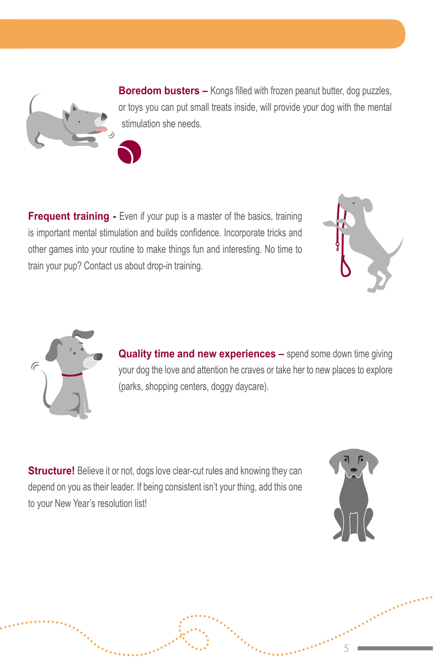**Boredom busters –** Kongs filled with frozen peanut butter, dog puzzles, or toys you can put small treats inside, will provide your dog with the mental stimulation she needs.

**Frequent training -** Even if your pup is a master of the basics, training is important mental stimulation and builds confidence. Incorporate tricks and other games into your routine to make things fun and interesting. No time to train your pup? Contact us about drop-in training.





**Quality time and new experiences –** spend some down time giving your dog the love and attention he craves or take her to new places to explore (parks, shopping centers, doggy daycare).

**Structure!** Believe it or not, dogs love clear-cut rules and knowing they can depend on you as their leader. If being consistent isn't your thing, add this one to your New Year's resolution list!



5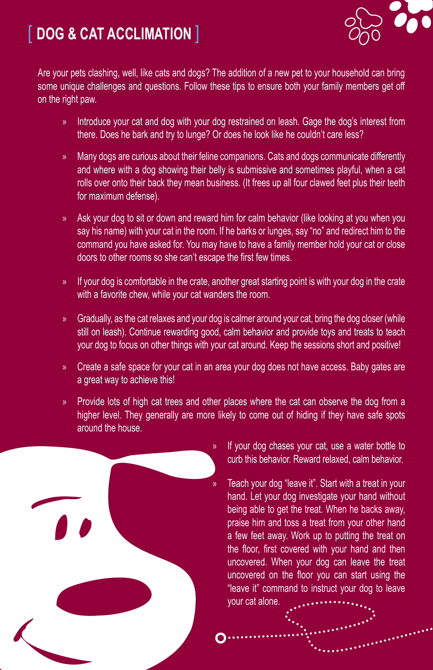# [ **DOG & CAT ACCLIMATION** ]



Are your pets clashing, well, like cats and dogs? The addition of a new pet to your household can bring some unique challenges and questions. Follow these tips to ensure both your family members get off on the right paw.

- » Introduce your cat and dog with your dog restrained on leash. Gage the dog's interest from there. Does he bark and try to lunge? Or does he look like he couldn't care less?
- » Many dogs are curious about their feline companions. Cats and dogs communicate differently and where with a dog showing their belly is submissive and sometimes playful, when a cat rolls over onto their back they mean business. (It frees up all four clawed feet plus their teeth for maximum defense).
- » Ask your dog to sit or down and reward him for calm behavior (like looking at you when you say his name) with your cat in the room. If he barks or lunges, say "no" and redirect him to the command you have asked for. You may have to have a family member hold your cat or close doors to other rooms so she can't escape the first few times.
- » If your dog is comfortable in the crate, another great starting point is with your dog in the crate with a favorite chew, while your cat wanders the room.
- » Gradually, as the cat relaxes and your dog is calmer around your cat, bring the dog closer (while still on leash). Continue rewarding good, calm behavior and provide toys and treats to teach your dog to focus on other things with your cat around. Keep the sessions short and positive!
- » Create a safe space for your cat in an area your dog does not have access. Baby gates are a great way to achieve this!
- » Provide lots of high cat trees and other places where the cat can observe the dog from a higher level. They generally are more likely to come out of hiding if they have safe spots around the house.



- If your dog chases your cat, use a water bottle to curb this behavior. Reward relaxed, calm behavior.
- Teach your dog "leave it". Start with a treat in your hand. Let your dog investigate your hand without being able to get the treat. When he backs away, praise him and toss a treat from your other hand a few feet away. Work up to putting the treat on the floor, first covered with your hand and then uncovered. When your dog can leave the treat uncovered on the floor you can start using the "leave it" command to instruct your dog to leave your cat alone.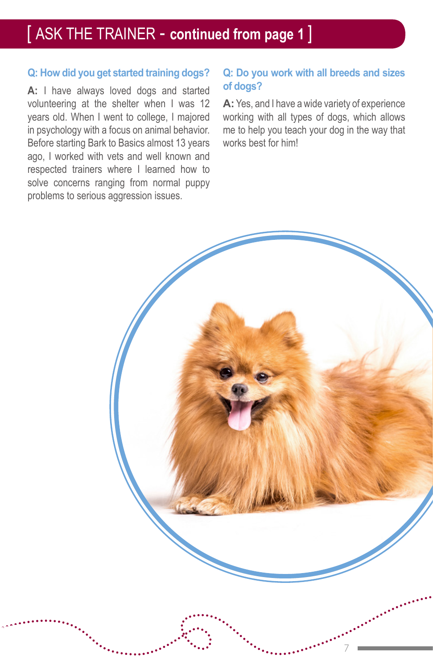## [ ASK THE TRAINER - **continued from page 1** ]

#### **Q: How did you get started training dogs?**

**A:** I have always loved dogs and started volunteering at the shelter when I was 12 years old. When I went to college, I majored in psychology with a focus on animal behavior. Before starting Bark to Basics almost 13 years ago, I worked with vets and well known and respected trainers where I learned how to solve concerns ranging from normal puppy problems to serious aggression issues.

#### **Q: Do you work with all breeds and sizes of dogs?**

**A:** Yes, and I have a wide variety of experience working with all types of dogs, which allows me to help you teach your dog in the way that works best for him!